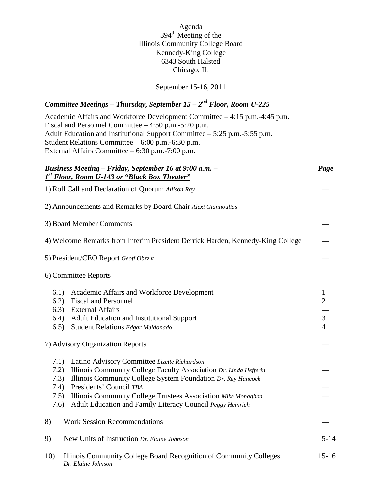Agenda  $394^{\text{th}}$  Meeting of the Illinois Community College Board Kennedy-King College 6343 South Halsted Chicago, IL

September 15-16, 2011

## *Committee Meetings – Thursday, September 15 – 2nd Floor, Room U-225*

Academic Affairs and Workforce Development Committee – 4:15 p.m.-4:45 p.m. Fiscal and Personnel Committee – 4:50 p.m.-5:20 p.m. Adult Education and Institutional Support Committee – 5:25 p.m.-5:55 p.m. Student Relations Committee – 6:00 p.m.-6:30 p.m. External Affairs Committee – 6:30 p.m.-7:00 p.m. *Business Meeting – Friday, September 16 at 9:00 a.m. – Page* 1) Roll Call and Declaration of Quorum *Allison Ray 1st Floor, Room U-143 or "Black Box Theater"* 2) Announcements and Remarks by Board Chair *Alexi Giannoulias* 3) Board Member Comments 4) Welcome Remarks from Interim President Derrick Harden, Kennedy-King College 5) President/CEO Report *Geoff Obrzut* 6) Committee Reports 6.1) Academic Affairs and Workforce Development 1 6.2) Fiscal and Personnel 2 6.3) External Affairs 6.4) Adult Education and Institutional Support 3 6.5) Student Relations *Edgar Maldonado* 4 7) Advisory Organization Reports 7.1) Latino Advisory Committee *Lizette Richardson* 7.2) Illinois Community College Faculty Association *Dr. Linda Hefferin* 7.3) Illinois Community College System Foundation *Dr. Ray Hancock* 7.4) Presidents' Council *TBA* 7.5) Illinois Community College Trustees Association *Mike Monaghan* 7.6) Adult Education and Family Literacy Council *Peggy Heinrich* 8) Work Session Recommendations 9) New Units of Instruction *Dr. Elaine Johnson* 5-14 10) Illinois Community College Board Recognition of Community Colleges 15-16 *Dr. Elaine Johnson*